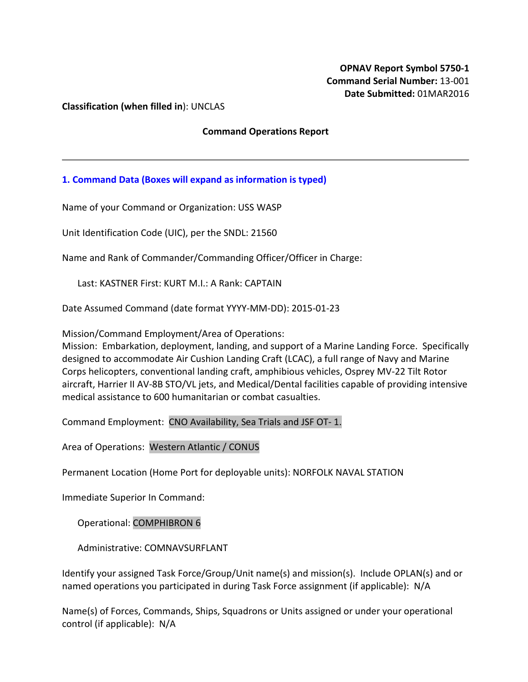**Classification (when filled in**): UNCLAS

## **Command Operations Report**

# **1. Command Data (Boxes will expand as information is typed)**

Name of your Command or Organization: USS WASP

Unit Identification Code (UIC), per the SNDL: 21560

Name and Rank of Commander/Commanding Officer/Officer in Charge:

Last: KASTNER First: KURT M.I.: A Rank: CAPTAIN

Date Assumed Command (date format YYYY-MM-DD): 2015-01-23

Mission/Command Employment/Area of Operations:

Mission: Embarkation, deployment, landing, and support of a Marine Landing Force. Specifically designed to accommodate Air Cushion Landing Craft (LCAC), a full range of Navy and Marine Corps helicopters, conventional landing craft, amphibious vehicles, Osprey MV-22 Tilt Rotor aircraft, Harrier II AV-8B STO/VL jets, and Medical/Dental facilities capable of providing intensive medical assistance to 600 humanitarian or combat casualties.

Command Employment: CNO Availability, Sea Trials and JSF OT- 1.

Area of Operations: Western Atlantic / CONUS

Permanent Location (Home Port for deployable units): NORFOLK NAVAL STATION

Immediate Superior In Command:

Operational: COMPHIBRON 6

Administrative: COMNAVSURFLANT

Identify your assigned Task Force/Group/Unit name(s) and mission(s). Include OPLAN(s) and or named operations you participated in during Task Force assignment (if applicable): N/A

Name(s) of Forces, Commands, Ships, Squadrons or Units assigned or under your operational control (if applicable): N/A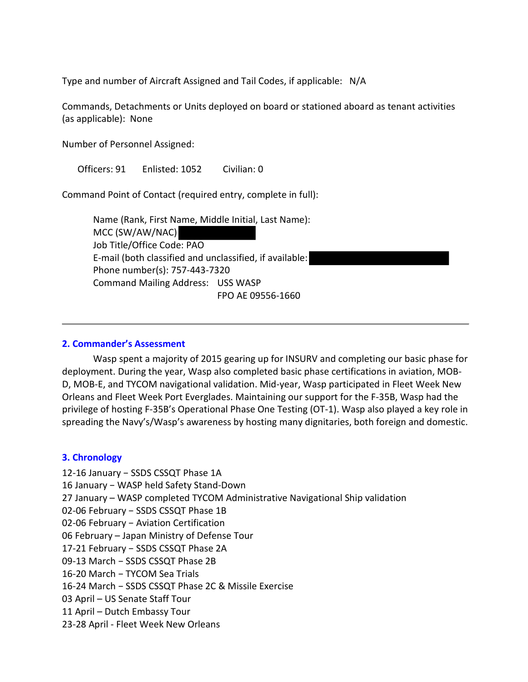Type and number of Aircraft Assigned and Tail Codes, if applicable: N/A

Commands, Detachments or Units deployed on board or stationed aboard as tenant activities (as applicable): None

Number of Personnel Assigned:

Officers: 91 Enlisted: 1052 Civilian: 0

Command Point of Contact (required entry, complete in full):

Name (Rank, First Name, Middle Initial, Last Name): MCC (SW/AW/NAC) Job Title/Office Code: PAO E-mail (both classified and unclassified, if available: Phone number(s): 757-443-7320 Command Mailing Address: USS WASP FPO AE 09556-1660

# **2. Commander's Assessment**

Wasp spent a majority of 2015 gearing up for INSURV and completing our basic phase for deployment. During the year, Wasp also completed basic phase certifications in aviation, MOB-D, MOB-E, and TYCOM navigational validation. Mid-year, Wasp participated in Fleet Week New Orleans and Fleet Week Port Everglades. Maintaining our support for the F-35B, Wasp had the privilege of hosting F-35B's Operational Phase One Testing (OT-1). Wasp also played a key role in spreading the Navy's/Wasp's awareness by hosting many dignitaries, both foreign and domestic.

### **3. Chronology**

12-16 January − SSDS CSSQT Phase 1A 16 January − WASP held Safety Stand-Down 27 January – WASP completed TYCOM Administrative Navigational Ship validation 02-06 February − SSDS CSSQT Phase 1B 02-06 February − Aviation Certification 06 February – Japan Ministry of Defense Tour 17-21 February − SSDS CSSQT Phase 2A 09-13 March − SSDS CSSQT Phase 2B 16-20 March − TYCOM Sea Trials 16-24 March − SSDS CSSQT Phase 2C & Missile Exercise 03 April – US Senate Staff Tour 11 April – Dutch Embassy Tour 23-28 April - Fleet Week New Orleans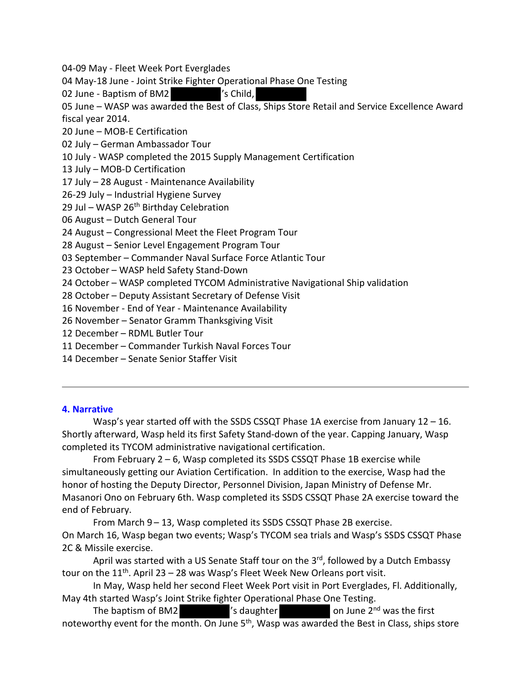04-09 May - Fleet Week Port Everglades

04 May-18 June - Joint Strike Fighter Operational Phase One Testing

02 June - Baptism of BM2 <sup>'</sup>s Child,

05 June – WASP was awarded the Best of Class, Ships Store Retail and Service Excellence Award fiscal year 2014.

20 June – MOB-E Certification

02 July – German Ambassador Tour

10 July - WASP completed the 2015 Supply Management Certification

13 July – MOB-D Certification

17 July – 28 August - Maintenance Availability

26-29 July – Industrial Hygiene Survey

29 Jul – WASP 26<sup>th</sup> Birthday Celebration

06 August – Dutch General Tour

24 August – Congressional Meet the Fleet Program Tour

28 August – Senior Level Engagement Program Tour

03 September – Commander Naval Surface Force Atlantic Tour

23 October – WASP held Safety Stand-Down

24 October – WASP completed TYCOM Administrative Navigational Ship validation

28 October – Deputy Assistant Secretary of Defense Visit

16 November - End of Year - Maintenance Availability

26 November – Senator Gramm Thanksgiving Visit

12 December – RDML Butler Tour

11 December – Commander Turkish Naval Forces Tour

14 December – Senate Senior Staffer Visit

# **4. Narrative**

Wasp's year started off with the SSDS CSSQT Phase 1A exercise from January 12 – 16. Shortly afterward, Wasp held its first Safety Stand-down of the year. Capping January, Wasp completed its TYCOM administrative navigational certification.

From February 2 – 6, Wasp completed its SSDS CSSQT Phase 1B exercise while simultaneously getting our Aviation Certification. In addition to the exercise, Wasp had the honor of hosting the Deputy Director, Personnel Division, Japan Ministry of Defense Mr. Masanori Ono on February 6th. Wasp completed its SSDS CSSQT Phase 2A exercise toward the end of February.

From March 9 – 13, Wasp completed its SSDS CSSQT Phase 2B exercise. On March 16, Wasp began two events; Wasp's TYCOM sea trials and Wasp's SSDS CSSQT Phase 2C & Missile exercise.

April was started with a US Senate Staff tour on the  $3<sup>rd</sup>$ , followed by a Dutch Embassy tour on the  $11<sup>th</sup>$ . April 23 – 28 was Wasp's Fleet Week New Orleans port visit.

In May, Wasp held her second Fleet Week Port visit in Port Everglades, Fl. Additionally, May 4th started Wasp's Joint Strike fighter Operational Phase One Testing.

The baptism of BM2  $\blacksquare$  's daughter  $\blacksquare$  on June 2<sup>nd</sup> was the first noteworthy event for the month. On June 5<sup>th</sup>, Wasp was awarded the Best in Class, ships store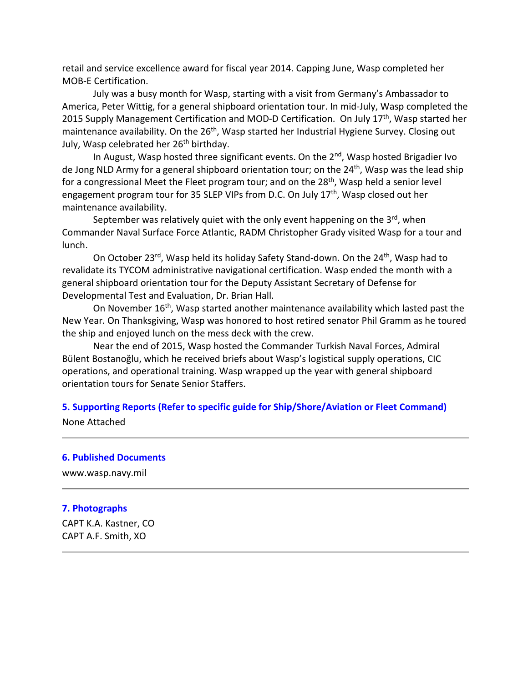retail and service excellence award for fiscal year 2014. Capping June, Wasp completed her MOB-E Certification.

July was a busy month for Wasp, starting with a visit from Germany's Ambassador to America, Peter Wittig, for a general shipboard orientation tour. In mid-July, Wasp completed the 2015 Supply Management Certification and MOD-D Certification. On July  $17<sup>th</sup>$ , Wasp started her maintenance availability. On the 26<sup>th</sup>, Wasp started her Industrial Hygiene Survey. Closing out July, Wasp celebrated her 26<sup>th</sup> birthday.

In August, Wasp hosted three significant events. On the  $2<sup>nd</sup>$ , Wasp hosted Brigadier Ivo de Jong NLD Army for a general shipboard orientation tour; on the  $24<sup>th</sup>$ , Wasp was the lead ship for a congressional Meet the Fleet program tour; and on the 28<sup>th</sup>, Wasp held a senior level engagement program tour for 35 SLEP VIPs from D.C. On July 17<sup>th</sup>, Wasp closed out her maintenance availability.

September was relatively quiet with the only event happening on the  $3<sup>rd</sup>$ , when Commander Naval Surface Force Atlantic, RADM Christopher Grady visited Wasp for a tour and lunch.

On October 23rd, Wasp held its holiday Safety Stand-down. On the 24th, Wasp had to revalidate its TYCOM administrative navigational certification. Wasp ended the month with a general shipboard orientation tour for the Deputy Assistant Secretary of Defense for Developmental Test and Evaluation, Dr. Brian Hall.

On November 16<sup>th</sup>, Wasp started another maintenance availability which lasted past the New Year. On Thanksgiving, Wasp was honored to host retired senator Phil Gramm as he toured the ship and enjoyed lunch on the mess deck with the crew.

Near the end of 2015, Wasp hosted the Commander Turkish Naval Forces, Admiral Bülent Bostanoğlu, which he received briefs about Wasp's logistical supply operations, CIC operations, and operational training. Wasp wrapped up the year with general shipboard orientation tours for Senate Senior Staffers.

## **5. Supporting Reports (Refer to specific guide for Ship/Shore/Aviation or Fleet Command)**

None Attached

#### **6. Published Documents**

www.wasp.navy.mil

#### **7. Photographs**

CAPT K.A. Kastner, CO CAPT A.F. Smith, XO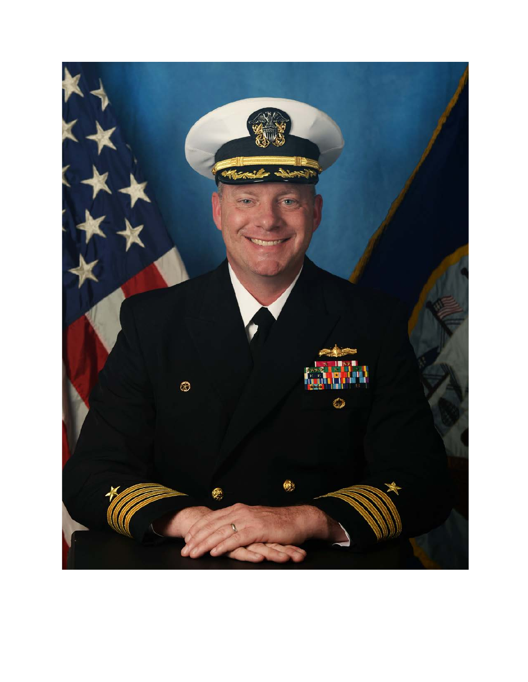